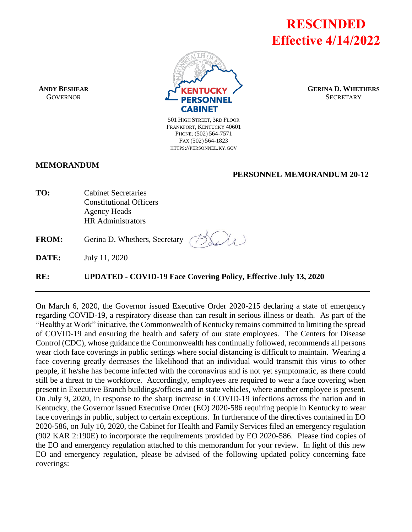**RESCINDED Effective 4/14/2022**



**GERINA D. WHETHERS SECRETARY** 

501 HIGH STREET, 3RD FLOOR FRANKFORT, KENTUCKY 40601 PHONE: (502) 564-7571 FAX (502) 564-1823 HTTPS://PERSONNEL.KY.GOV

#### **MEMORANDUM**

**ANDY BESHEAR GOVERNOR** 

#### **PERSONNEL MEMORANDUM 20-12**

| TO: | <b>Cabinet Secretaries</b>     |
|-----|--------------------------------|
|     | <b>Constitutional Officers</b> |
|     | <b>Agency Heads</b>            |
|     | <b>HR</b> Administrators       |
|     |                                |

**FROM:** Gerina D. Whethers, Secretary

**DATE:** July 11, 2020

**RE: UPDATED - COVID-19 Face Covering Policy, Effective July 13, 2020**

On March 6, 2020, the Governor issued Executive Order 2020-215 declaring a state of emergency regarding COVID-19, a respiratory disease than can result in serious illness or death. As part of the "Healthy at Work" initiative, the Commonwealth of Kentucky remains committed to limiting the spread of COVID-19 and ensuring the health and safety of our state employees. The Centers for Disease Control (CDC), whose guidance the Commonwealth has continually followed, recommends all persons wear cloth face coverings in public settings where social distancing is difficult to maintain. Wearing a face covering greatly decreases the likelihood that an individual would transmit this virus to other people, if he/she has become infected with the coronavirus and is not yet symptomatic, as there could still be a threat to the workforce. Accordingly, employees are required to wear a face covering when present in Executive Branch buildings/offices and in state vehicles, where another employee is present. On July 9, 2020, in response to the sharp increase in COVID-19 infections across the nation and in Kentucky, the Governor issued Executive Order (EO) 2020-586 requiring people in Kentucky to wear face coverings in public, subject to certain exceptions. In furtherance of the directives contained in EO 2020-586, on July 10, 2020, the Cabinet for Health and Family Services filed an emergency regulation (902 KAR 2:190E) to incorporate the requirements provided by EO 2020-586. Please find copies of the EO and emergency regulation attached to this memorandum for your review. In light of this new EO and emergency regulation, please be advised of the following updated policy concerning face coverings: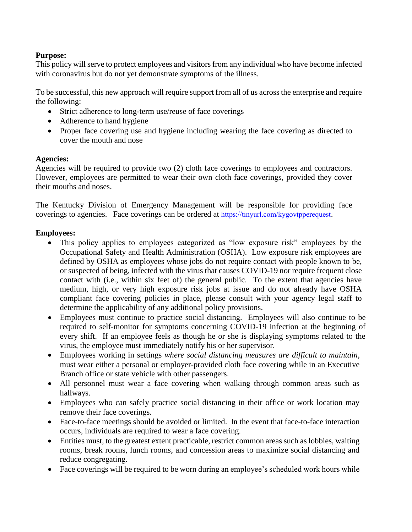## **Purpose:**

This policy will serve to protect employees and visitors from any individual who have become infected with coronavirus but do not yet demonstrate symptoms of the illness.

To be successful, this new approach will require support from all of us across the enterprise and require the following:

- Strict adherence to long-term use/reuse of face coverings
- Adherence to hand hygiene
- Proper face covering use and hygiene including wearing the face covering as directed to cover the mouth and nose

## **Agencies:**

Agencies will be required to provide two (2) cloth face coverings to employees and contractors. However, employees are permitted to wear their own cloth face coverings, provided they cover their mouths and noses.

The Kentucky Division of Emergency Management will be responsible for providing face coverings to agencies. Face coverings can be ordered at <https://tinyurl.com/kygovtpperequest>.

## **Employees:**

- This policy applies to employees categorized as "low exposure risk" employees by the Occupational Safety and Health Administration (OSHA). Low exposure risk employees are defined by OSHA as employees whose jobs do not require contact with people known to be, or suspected of being, infected with the virus that causes COVID-19 nor require frequent close contact with (i.e., within six feet of) the general public. To the extent that agencies have medium, high, or very high exposure risk jobs at issue and do not already have OSHA compliant face covering policies in place, please consult with your agency legal staff to determine the applicability of any additional policy provisions.
- Employees must continue to practice social distancing. Employees will also continue to be required to self-monitor for symptoms concerning COVID-19 infection at the beginning of every shift. If an employee feels as though he or she is displaying symptoms related to the virus, the employee must immediately notify his or her supervisor.
- Employees working in settings *where social distancing measures are difficult to maintain*, must wear either a personal or employer-provided cloth face covering while in an Executive Branch office or state vehicle with other passengers.
- All personnel must wear a face covering when walking through common areas such as hallways.
- Employees who can safely practice social distancing in their office or work location may remove their face coverings.
- Face-to-face meetings should be avoided or limited. In the event that face-to-face interaction occurs, individuals are required to wear a face covering.
- Entities must, to the greatest extent practicable, restrict common areas such as lobbies, waiting rooms, break rooms, lunch rooms, and concession areas to maximize social distancing and reduce congregating.
- Face coverings will be required to be worn during an employee's scheduled work hours while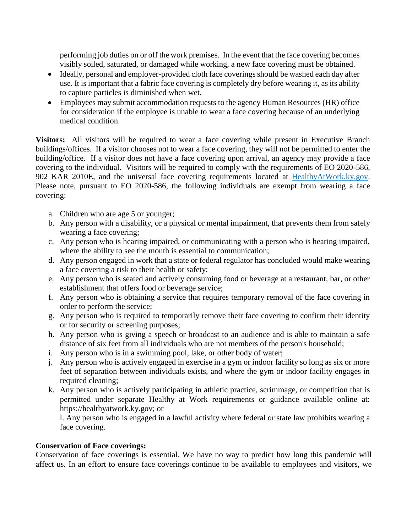performing job duties on or off the work premises. In the event that the face covering becomes visibly soiled, saturated, or damaged while working, a new face covering must be obtained.

- Ideally, personal and employer-provided cloth face coverings should be washed each day after use. It is important that a fabric face covering is completely dry before wearing it, as its ability to capture particles is diminished when wet.
- Employees may submit accommodation requests to the agency Human Resources (HR) office for consideration if the employee is unable to wear a face covering because of an underlying medical condition.

**Visitors:** All visitors will be required to wear a face covering while present in Executive Branch buildings/offices. If a visitor chooses not to wear a face covering, they will not be permitted to enter the building/office. If a visitor does not have a face covering upon arrival, an agency may provide a face covering to the individual. Visitors will be required to comply with the requirements of EO 2020-586, 902 KAR 2010E, and the universal face covering requirements located at HealthyAtWork.ky.gov. Please note, pursuant to EO 2020-586, the following individuals are exempt from wearing a face covering:

- a. Children who are age 5 or younger;
- b. Any person with a disability, or a physical or mental impairment, that prevents them from safely wearing a face covering;
- c. Any person who is hearing impaired, or communicating with a person who is hearing impaired, where the ability to see the mouth is essential to communication;
- d. Any person engaged in work that a state or federal regulator has concluded would make wearing a face covering a risk to their health or safety;
- e. Any person who is seated and actively consuming food or beverage at a restaurant, bar, or other establishment that offers food or beverage service;
- f. Any person who is obtaining a service that requires temporary removal of the face covering in order to perform the service;
- g. Any person who is required to temporarily remove their face covering to confirm their identity or for security or screening purposes;
- h. Any person who is giving a speech or broadcast to an audience and is able to maintain a safe distance of six feet from all individuals who are not members of the person's household;
- i. Any person who is in a swimming pool, lake, or other body of water;
- j. Any person who is actively engaged in exercise in a gym or indoor facility so long as six or more feet of separation between individuals exists, and where the gym or indoor facility engages in required cleaning;
- k. Any person who is actively participating in athletic practice, scrimmage, or competition that is permitted under separate Healthy at Work requirements or guidance available online at: https://healthyatwork.ky.gov; or

l. Any person who is engaged in a lawful activity where federal or state law prohibits wearing a face covering.

#### **Conservation of Face coverings:**

Conservation of face coverings is essential. We have no way to predict how long this pandemic will affect us. In an effort to ensure face coverings continue to be available to employees and visitors, we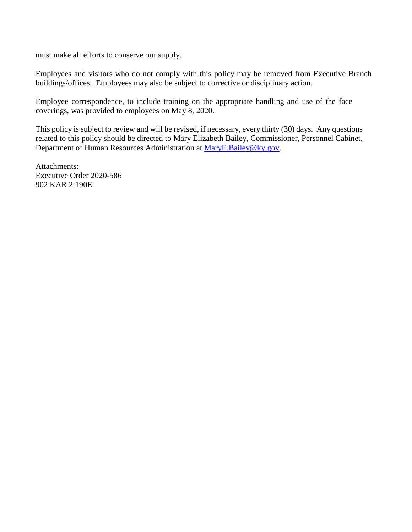must make all efforts to conserve our supply.

Employees and visitors who do not comply with this policy may be removed from Executive Branch buildings/offices. Employees may also be subject to corrective or disciplinary action.

Employee correspondence, to include training on the appropriate handling and use of the face coverings, was provided to employees on May 8, 2020.

This policy is subject to review and will be revised, if necessary, every thirty (30) days. Any questions related to this policy should be directed to Mary Elizabeth Bailey, Commissioner, Personnel Cabinet, Department of Human Resources Administration at [MaryE.Bailey@ky.gov.](mailto:MaryE.Bailey@ky.gov)

Attachments: Executive Order 2020-586 902 KAR 2:190E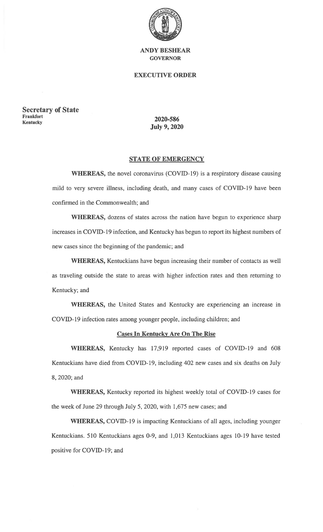

### **EXECUTIVE ORDER**

**Secretary of State** Frankfort **Kentucky** 

2020-586 **July 9, 2020** 

#### **STATE OF EMERGENCY**

WHEREAS, the novel coronavirus (COVID-19) is a respiratory disease causing mild to very severe illness, including death, and many cases of COVID-19 have been confirmed in the Commonwealth; and

WHEREAS, dozens of states across the nation have begun to experience sharp increases in COVID-19 infection, and Kentucky has begun to report its highest numbers of new cases since the beginning of the pandemic; and

WHEREAS, Kentuckians have begun increasing their number of contacts as well as traveling outside the state to areas with higher infection rates and then returning to Kentucky; and

WHEREAS, the United States and Kentucky are experiencing an increase in COVID-19 infection rates among younger people, including children; and

## **Cases In Kentucky Are On The Rise**

WHEREAS, Kentucky has 17,919 reported cases of COVID-19 and 608 Kentuckians have died from COVID-19, including 402 new cases and six deaths on July 8, 2020; and

WHEREAS, Kentucky reported its highest weekly total of COVID-19 cases for the week of June 29 through July 5, 2020, with 1,675 new cases; and

WHEREAS, COVID-19 is impacting Kentuckians of all ages, including younger Kentuckians. 510 Kentuckians ages 0-9, and 1,013 Kentuckians ages 10-19 have tested positive for COVID-19; and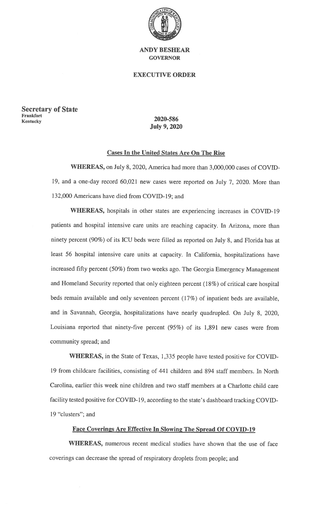

#### **EXECUTIVE ORDER**

**Secretary of State** Frankfort **Kentucky** 

## 2020-586 **July 9, 2020**

#### **Cases In the United States Are On The Rise**

WHEREAS, on July 8, 2020, America had more than 3,000,000 cases of COVID-19, and a one-day record 60,021 new cases were reported on July 7, 2020. More than 132,000 Americans have died from COVID-19; and

WHEREAS, hospitals in other states are experiencing increases in COVID-19 patients and hospital intensive care units are reaching capacity. In Arizona, more than ninety percent (90%) of its ICU beds were filled as reported on July 8, and Florida has at least 56 hospital intensive care units at capacity. In California, hospitalizations have increased fifty percent (50%) from two weeks ago. The Georgia Emergency Management and Homeland Security reported that only eighteen percent (18%) of critical care hospital beds remain available and only seventeen percent (17%) of inpatient beds are available, and in Savannah, Georgia, hospitalizations have nearly quadrupled. On July 8, 2020, Louisiana reported that ninety-five percent (95%) of its 1,891 new cases were from community spread; and

WHEREAS, in the State of Texas, 1,335 people have tested positive for COVID-19 from childcare facilities, consisting of 441 children and 894 staff members. In North Carolina, earlier this week nine children and two staff members at a Charlotte child care facility tested positive for COVID-19, according to the state's dashboard tracking COVID-19 "clusters"; and

#### **Face Coverings Are Effective In Slowing The Spread Of COVID-19**

WHEREAS, numerous recent medical studies have shown that the use of face coverings can decrease the spread of respiratory droplets from people; and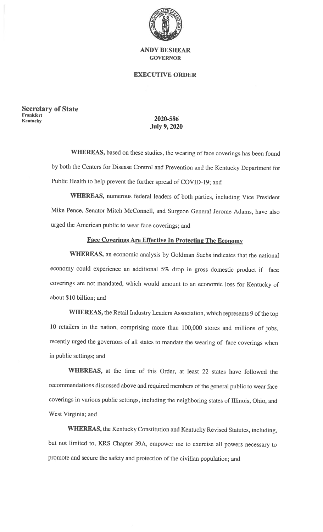

### **EXECUTIVE ORDER**

**Secretary of State Frankfort Kentucky** 

## 2020-586 **July 9, 2020**

WHEREAS, based on these studies, the wearing of face coverings has been found by both the Centers for Disease Control and Prevention and the Kentucky Department for Public Health to help prevent the further spread of COVID-19; and

WHEREAS, numerous federal leaders of both parties, including Vice President Mike Pence, Senator Mitch McConnell, and Surgeon General Jerome Adams, have also urged the American public to wear face coverings; and

#### **Face Coverings Are Effective In Protecting The Economy**

WHEREAS, an economic analysis by Goldman Sachs indicates that the national economy could experience an additional 5% drop in gross domestic product if face coverings are not mandated, which would amount to an economic loss for Kentucky of about \$10 billion; and

WHEREAS, the Retail Industry Leaders Association, which represents 9 of the top 10 retailers in the nation, comprising more than 100,000 stores and millions of jobs, recently urged the governors of all states to mandate the wearing of face coverings when in public settings; and

WHEREAS, at the time of this Order, at least 22 states have followed the recommendations discussed above and required members of the general public to wear face coverings in various public settings, including the neighboring states of Illinois, Ohio, and West Virginia; and

WHEREAS, the Kentucky Constitution and Kentucky Revised Statutes, including, but not limited to, KRS Chapter 39A, empower me to exercise all powers necessary to promote and secure the safety and protection of the civilian population; and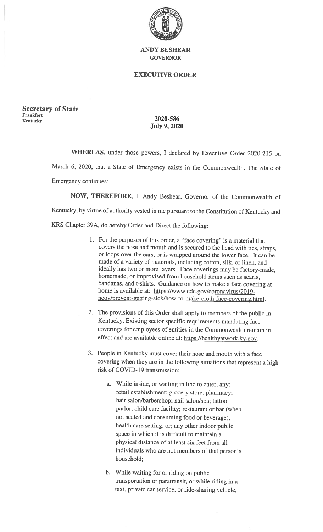

#### **EXECUTIVE ORDER**

**Secretary of State Frankfort Kentucky** 

# 2020-586 **July 9, 2020**

WHEREAS, under those powers, I declared by Executive Order 2020-215 on March 6, 2020, that a State of Emergency exists in the Commonwealth. The State of Emergency continues:

NOW, THEREFORE, I, Andy Beshear, Governor of the Commonwealth of Kentucky, by virtue of authority vested in me pursuant to the Constitution of Kentucky and

KRS Chapter 39A, do hereby Order and Direct the following:

- 1. For the purposes of this order, a "face covering" is a material that covers the nose and mouth and is secured to the head with ties, straps, or loops over the ears, or is wrapped around the lower face. It can be made of a variety of materials, including cotton, silk, or linen, and ideally has two or more layers. Face coverings may be factory-made, homemade, or improvised from household items such as scarfs, bandanas, and t-shirts. Guidance on how to make a face covering at home is available at: https://www.cdc.gov/coronavirus/2019ncov/prevent-getting-sick/how-to-make-cloth-face-covering.html.
- 2. The provisions of this Order shall apply to members of the public in Kentucky. Existing sector specific requirements mandating face coverings for employees of entities in the Commonwealth remain in effect and are available online at: https://healthyatwork.ky.gov.
- 3. People in Kentucky must cover their nose and mouth with a face covering when they are in the following situations that represent a high risk of COVID-19 transmission:
	- a. While inside, or waiting in line to enter, any: retail establishment; grocery store; pharmacy; hair salon/barbershop; nail salon/spa; tattoo parlor; child care facility; restaurant or bar (when not seated and consuming food or beverage); health care setting, or, any other indoor public space in which it is difficult to maintain a physical distance of at least six feet from all individuals who are not members of that person's household:
	- b. While waiting for or riding on public transportation or paratransit, or while riding in a taxi, private car service, or ride-sharing vehicle,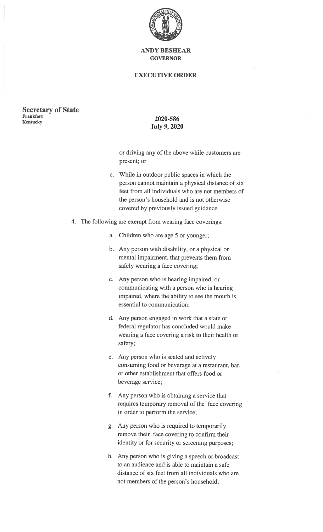

### **EXECUTIVE ORDER**

#### **Secretary of State** Frankfort **Kentucky**

## 2020-586 **July 9, 2020**

or driving any of the above while customers are present; or

- c. While in outdoor public spaces in which the person cannot maintain a physical distance of six feet from all individuals who are not members of the person's household and is not otherwise covered by previously issued guidance.
- 4. The following are exempt from wearing face coverings:
	- a. Children who are age 5 or younger;
	- b. Any person with disability, or a physical or mental impairment, that prevents them from safely wearing a face covering;
	- c. Any person who is hearing impaired, or communicating with a person who is hearing impaired, where the ability to see the mouth is essential to communication;
	- d. Any person engaged in work that a state or federal regulator has concluded would make wearing a face covering a risk to their health or safety;
	- e. Any person who is seated and actively consuming food or beverage at a restaurant, bar, or other establishment that offers food or beverage service;
	- f. Any person who is obtaining a service that requires temporary removal of the face covering in order to perform the service;
	- g. Any person who is required to temporarily remove their face covering to confirm their identity or for security or screening purposes;
	- h. Any person who is giving a speech or broadcast to an audience and is able to maintain a safe distance of six feet from all individuals who are not members of the person's household;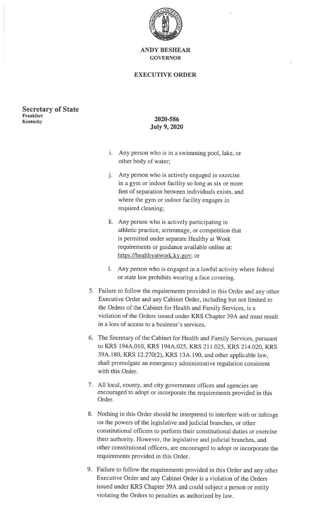

### **EXECUTIVE ORDER**

**Secretary of State Frankfort Kentucky** 

## 2020-586 **July 9, 2020**

- i. Any person who is in a swimming pool, lake, or other body of water;
- j. Any person who is actively engaged in exercise in a gym or indoor facility so long as six or more feet of separation between individuals exists, and where the gym or indoor facility engages in required cleaning;
- k. Any person who is actively participating in athletic practice, scrimmage, or competition that is permitted under separate Healthy at Work requirements or guidance available online at: https://healthyatwork.ky.gov; or
- l. Any person who is engaged in a lawful activity where federal or state law prohibits wearing a face covering.
- 5. Failure to follow the requirements provided in this Order and any other Executive Order and any Cabinet Order, including but not limited to the Orders of the Cabinet for Health and Family Services, is a violation of the Orders issued under KRS Chapter 39A and must result in a loss of access to a business's services.
- 6. The Secretary of the Cabinet for Health and Family Services, pursuant to KRS 194A.010, KRS 194A.025, KRS 211.025, KRS 214.020, KRS 39A.180, KRS 12.270(2), KRS 13A.190, and other applicable law. shall promulgate an emergency administrative regulation consistent with this Order.
- 7. All local, county, and city government offices and agencies are encouraged to adopt or incorporate the requirements provided in this Order.
- 8. Nothing in this Order should be interpreted to interfere with or infringe on the powers of the legislative and judicial branches, or other constitutional officers to perform their constitutional duties or exercise their authority. However, the legislative and judicial branches, and other constitutional officers, are encouraged to adopt or incorporate the requirements provided in this Order.
- 9. Failure to follow the requirements provided in this Order and any other Executive Order and any Cabinet Order is a violation of the Orders issued under KRS Chapter 39A and could subject a person or entity violating the Orders to penalties as authorized by law.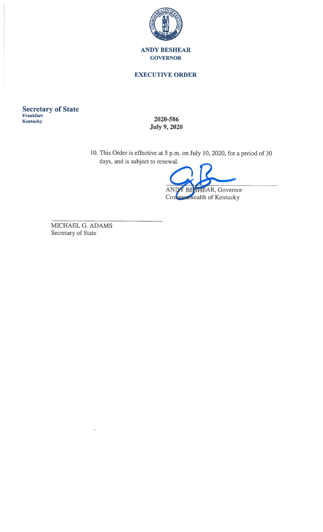

### **EXECUTIVE ORDER**

**Secretary of State**<br>Frankfort Kentucky

2020-586 **July 9, 2020** 

10. This Order is effective at 5 p.m. on July 10, 2020, for a period of 30 days, and is subject to renewal.

Y BESHEAR, Governor **AN** 

Conmenwealth of Kentucky

MICHAEL G. ADAMS Secretary of State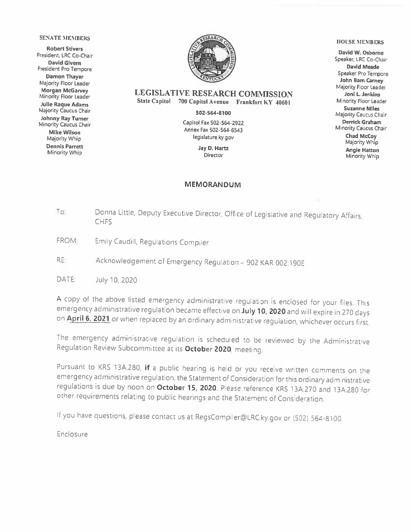#### **SENATE MEMBERS**

**Robert Stivers** President, LRC Co-Chair **David Givens** President Pro Tempore **Damon Thayer** Majority Floor Leader **Morgan McGarvey** Minority Floor Leader **Julie Raque Adams** Majority Caucus Chair Johnny Ray Turner Minority Caucus Chair **Mike Wilson** Majority Whip **Dennis Parrett** Minority Whip



#### **LEGISLATIVE RESEARCH COMMISSION** State Capitol 700 Capital Avenue Frankfort KY 40601

502-564-8100

Capitol Fax 502-564-2922 Annex Fax 502-564-6543 legislature.ky.gov

> Jay D. Hartz Director

#### **MEMORANDUM**

#### **HOUSE MEMBERS**

David W. Osborne Speaker, LRC Co-Chair **David Meade** Speaker Pro Tempore John Bam Carney Majority Floor Leader Joni L. Jenkins Minority Floor Leader **Suzanne Miles** Majority Caucus Chair Derrick Graham Minority Caucus Chair Chad McCoy Majority Whip **Angie Hatton** Minority Whip

- Donna Little, Deputy Executive Director, Office of Legislative and Regulatory Affairs, To: **CHFS**
- FROM: Emily Caudill, Regulations Compiler
- RE: Acknowledgement of Emergency Regulation - 902 KAR 002:190E

DATE: July 10, 2020

A copy of the above listed emergency administrative regulation is enclosed for your files. This emergency administrative regulation became effective on July 10, 2020 and will expire in 270 days on April 6, 2021 or when replaced by an ordinary administrative regulation, whichever occurs first.

The emergency administrative regulation is scheduled to be reviewed by the Administrative Regulation Review Subcommittee at its October 2020, meeting.

Pursuant to KRS 13A.280, if a public hearing is held or you receive written comments on the emergency administrative regulation, the Statement of Consideration for this ordinary administrative regulations is due by noon on October 15, 2020. Please reference KRS 13A.270 and 13A.280 for other requirements relating to public hearings and the Statement of Consideration.

If you have questions, please contact us at RegsCompiler@LRC.ky.gov or (502) 564-8100.

Enclosure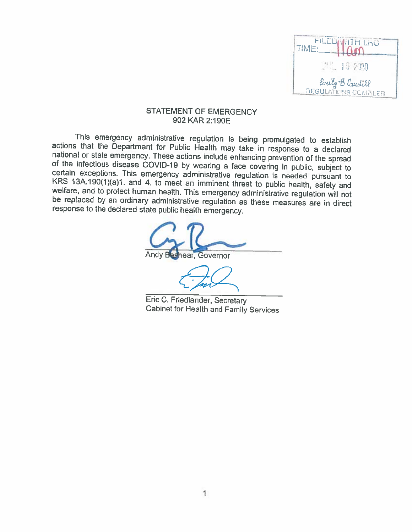

### STATEMENT OF EMERGENCY 902 KAR 2:190E

This emergency administrative regulation is being promulgated to establish actions that the Department for Public Health may take in response to a declared national or state emergency. These actions include enhancing prevention of the spread of the infectious disease COVID-19 by wearing a face covering in public, subject to certain exceptions. This emergency administrative regulation is needed pursuant to KRS 13A.190(1)(a)1. and 4. to meet an imminent threat to public health, safety and welfare, and to protect human health. This emergency administrative regulation will not be replaced by an ordinary administrative regulation as these measures are in direct response to the declared state public health emergency.

ear, Governor

Eric C. Friedlander, Secretary Cabinet for Health and Family Services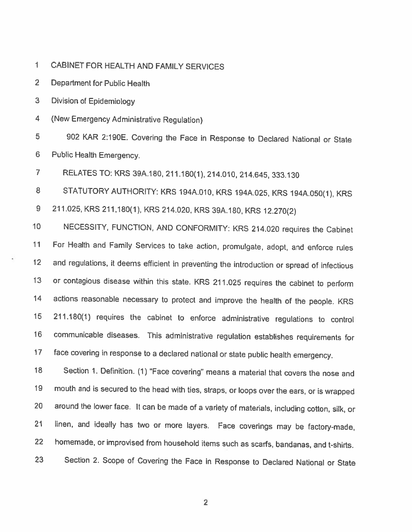$\mathbf{1}$ CABINET FOR HEALTH AND FAMILY SERVICES

 $\overline{2}$ Department for Public Health

 $\overline{3}$ Division of Epidemiology

 $\overline{\mathbf{4}}$ (New Emergency Administrative Regulation)

902 KAR 2:190E. Covering the Face in Response to Declared National or State 5 Public Health Emergency. 6

 $\overline{7}$ RELATES TO: KRS 39A.180, 211.180(1), 214.010, 214.645, 333.130

8 STATUTORY AUTHORITY: KRS 194A.010, KRS 194A.025, KRS 194A.050(1), KRS 9 211.025, KRS 211,180(1), KRS 214.020, KRS 39A.180, KRS 12.270(2)

NECESSITY, FUNCTION, AND CONFORMITY: KRS 214.020 requires the Cabinet  $10<sub>1</sub>$ For Health and Family Services to take action, promulgate, adopt, and enforce rules  $11$ and regulations, it deems efficient in preventing the introduction or spread of infectious  $12<sub>1</sub>$  $13<sup>°</sup>$ or contagious disease within this state. KRS 211.025 requires the cabinet to perform  $14$ actions reasonable necessary to protect and improve the health of the people. KRS 211.180(1) requires the cabinet to enforce administrative regulations to control  $15<sub>15</sub>$ communicable diseases. This administrative regulation establishes requirements for  $16<sup>1</sup>$  $17$ face covering in response to a declared national or state public health emergency.

Section 1. Definition. (1) "Face covering" means a material that covers the nose and 18 mouth and is secured to the head with ties, straps, or loops over the ears, or is wrapped 19 20 around the lower face. It can be made of a variety of materials, including cotton, silk, or linen, and ideally has two or more layers. Face coverings may be factory-made,  $21$ 22 homemade, or improvised from household items such as scarfs, bandanas, and t-shirts. Section 2. Scope of Covering the Face in Response to Declared National or State 23

 $\overline{2}$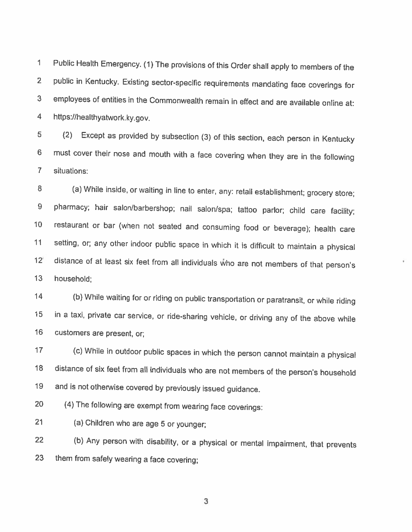Public Health Emergency. (1) The provisions of this Order shall apply to members of the  $\mathbf 1$ public in Kentucky. Existing sector-specific requirements mandating face coverings for  $\overline{2}$ employees of entities in the Commonwealth remain in effect and are available online at: 3  $\overline{4}$ https://healthyatwork.ky.gov.

 $\overline{5}$ Except as provided by subsection (3) of this section, each person in Kentucky  $(2)$ must cover their nose and mouth with a face covering when they are in the following  $6<sup>1</sup>$  $\overline{7}$ situations:

8 (a) While inside, or waiting in line to enter, any: retail establishment; grocery store; pharmacy; hair salon/barbershop; nail salon/spa; tattoo parlor; child care facility;  $\overline{9}$ restaurant or bar (when not seated and consuming food or beverage); health care  $10<sub>1</sub>$  $11$ setting, or; any other indoor public space in which it is difficult to maintain a physical  $12<sup>2</sup>$ distance of at least six feet from all individuals who are not members of that person's  $13<sup>°</sup>$ household:

(b) While waiting for or riding on public transportation or paratransit, or while riding  $14$ in a taxi, private car service, or ride-sharing vehicle, or driving any of the above while 15  $16<sup>°</sup>$ customers are present, or;

(c) While in outdoor public spaces in which the person cannot maintain a physical  $17$ distance of six feet from all individuals who are not members of the person's household 18 and is not otherwise covered by previously issued guidance. 19

(4) The following are exempt from wearing face coverings: 20

 $21$ (a) Children who are age 5 or younger;

(b) Any person with disability, or a physical or mental impairment, that prevents 22 them from safely wearing a face covering; 23

3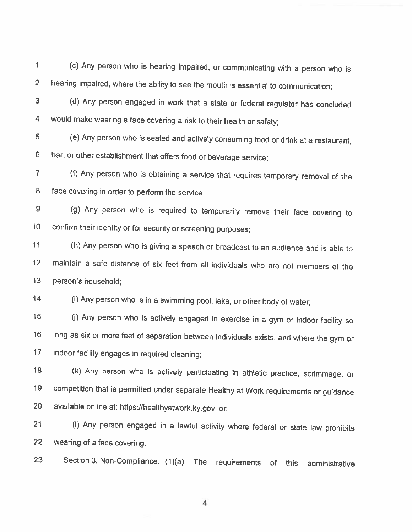$\mathbf{1}$ (c) Any person who is hearing impaired, or communicating with a person who is hearing impaired, where the ability to see the mouth is essential to communication;  $\overline{2}$ 

(d) Any person engaged in work that a state or federal regulator has concluded  $\overline{3}$ would make wearing a face covering a risk to their health or safety; 4

5 (e) Any person who is seated and actively consuming food or drink at a restaurant, bar, or other establishment that offers food or beverage service; 6

(f) Any person who is obtaining a service that requires temporary removal of the  $\overline{7}$ 8 face covering in order to perform the service;

(g) Any person who is required to temporarily remove their face covering to  $9$ confirm their identity or for security or screening purposes;  $10<sup>1</sup>$ 

 $11$ (h) Any person who is giving a speech or broadcast to an audience and is able to maintain a safe distance of six feet from all individuals who are not members of the  $12$  $13<sub>1</sub>$ person's household:

 $14$ (i) Any person who is in a swimming pool, lake, or other body of water;

(j) Any person who is actively engaged in exercise in a gym or indoor facility so  $15<sub>1</sub>$ long as six or more feet of separation between individuals exists, and where the gym or 16  $17$ indoor facility engages in required cleaning;

18 (k) Any person who is actively participating in athletic practice, scrimmage, or 19 competition that is permitted under separate Healthy at Work requirements or guidance 20 available online at: https://healthyatwork.ky.gov, or;

(I) Any person engaged in a lawful activity where federal or state law prohibits  $21$ 22 wearing of a face covering.

Section 3. Non-Compliance. (1)(a) The requirements of this administrative 23

 $\overline{4}$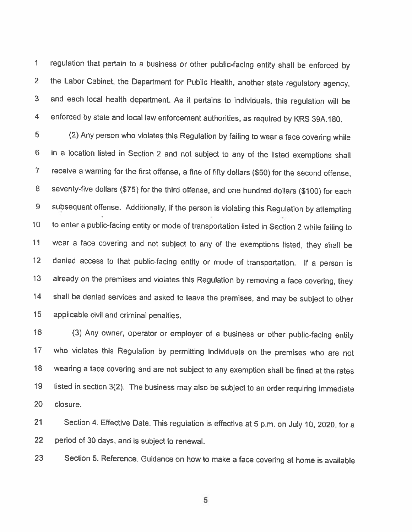1 regulation that pertain to a business or other public-facing entity shall be enforced by  $2<sup>1</sup>$ the Labor Cabinet, the Department for Public Health, another state regulatory agency, 3 and each local health department. As it pertains to individuals, this regulation will be  $\overline{4}$ enforced by state and local law enforcement authorities, as required by KRS 39A.180.

 $5<sub>1</sub>$ (2) Any person who violates this Regulation by failing to wear a face covering while 6 in a location listed in Section 2 and not subject to any of the listed exemptions shall  $\overline{7}$ receive a warning for the first offense, a fine of fifty dollars (\$50) for the second offense, 8 seventy-five dollars (\$75) for the third offense, and one hundred dollars (\$100) for each 9 subsequent offense. Additionally, if the person is violating this Regulation by attempting to enter a public-facing entity or mode of transportation listed in Section 2 while failing to  $10<sup>°</sup>$  $11$ wear a face covering and not subject to any of the exemptions listed, they shall be  $12<sub>2</sub>$ denied access to that public-facing entity or mode of transportation. If a person is already on the premises and violates this Regulation by removing a face covering, they  $13<sup>°</sup>$  $14$ shall be denied services and asked to leave the premises, and may be subject to other 15 applicable civil and criminal penalties.

 $16$ (3) Any owner, operator or employer of a business or other public-facing entity  $17$ who violates this Regulation by permitting individuals on the premises who are not wearing a face covering and are not subject to any exemption shall be fined at the rates 18 19 listed in section 3(2). The business may also be subject to an order requiring immediate 20 closure.

 $21$ Section 4. Effective Date. This regulation is effective at 5 p.m. on July 10, 2020, for a 22 period of 30 days, and is subject to renewal.

23 Section 5. Reference. Guidance on how to make a face covering at home is available

5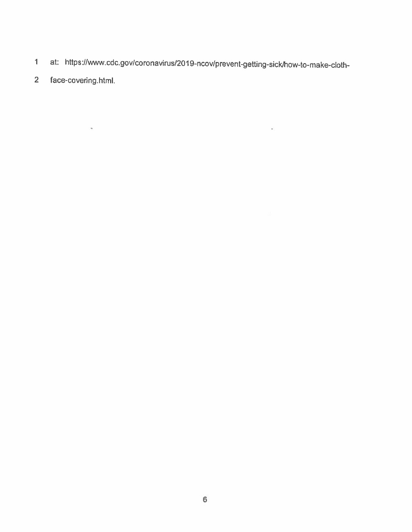at: https://www.cdc.gov/coronavirus/2019-ncov/prevent-getting-sick/how-to-make-cloth- $\mathbf{1}$ 

 $\star$ 

 $\overline{2}$ face-covering.html.

 $\lambda$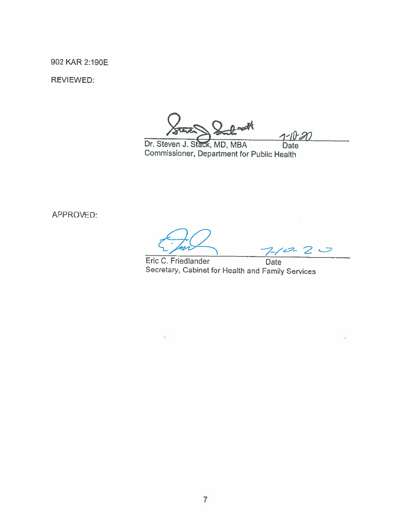902 KAR 2:190E

**REVIEWED:** 

Dr. Steven J. Stack, MD, MBA **Date** Commissioner, Department for Public Health

APPROVED:

 $-2$ ⊃

Eric C. Friedlander Date Secretary, Cabinet for Health and Family Services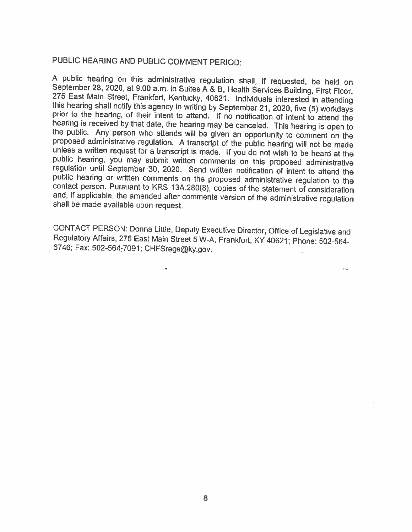# PUBLIC HEARING AND PUBLIC COMMENT PERIOD:

A public hearing on this administrative regulation shall, if requested, be held on September 28, 2020, at 9:00 a.m. in Suites A & B, Health Services Building, First Floor, 275 East Main Street, Frankfort, Kentucky, 40621. Individuals interested in attending this hearing shall notify this agency in writing by September 21, 2020, five (5) workdays prior to the hearing, of their intent to attend. If no notification of intent to attend the hearing is received by that date, the hearing may be canceled. This hearing is open to the public. Any person who attends will be given an opportunity to comment on the proposed administrative regulation. A transcript of the public hearing will not be made unless a written request for a transcript is made. If you do not wish to be heard at the public hearing, you may submit written comments on this proposed administrative regulation until September 30, 2020. Send written notification of intent to attend the public hearing or written comments on the proposed administrative regulation to the contact person. Pursuant to KRS 13A.280(8), copies of the statement of consideration and, if applicable, the amended after comments version of the administrative regulation shall be made available upon request.

CONTACT PERSON: Donna Little, Deputy Executive Director, Office of Legislative and Regulatory Affairs, 275 East Main Street 5 W-A, Frankfort, KY 40621; Phone: 502-564-6746; Fax: 502-564-7091; CHFSregs@ky.gov.

 $\ddotsc$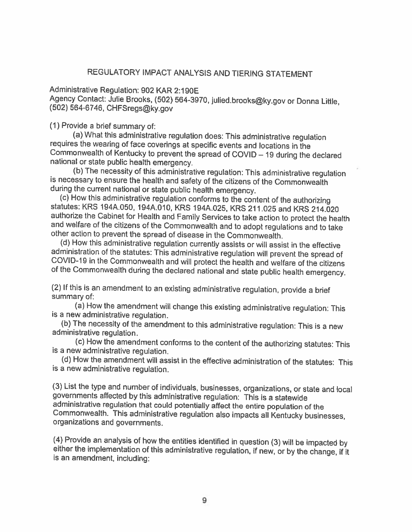## REGULATORY IMPACT ANALYSIS AND TIERING STATEMENT

Administrative Regulation: 902 KAR 2:190E Agency Contact: Julie Brooks, (502) 564-3970, julied.brooks@ky.gov or Donna Little, (502) 564-6746, CHFSregs@ky.gov

(1) Provide a brief summary of:

(a) What this administrative regulation does: This administrative regulation requires the wearing of face coverings at specific events and locations in the Commonwealth of Kentucky to prevent the spread of COVID - 19 during the declared national or state public health emergency.

(b) The necessity of this administrative regulation: This administrative regulation is necessary to ensure the health and safety of the citizens of the Commonwealth during the current national or state public health emergency.

(c) How this administrative regulation conforms to the content of the authorizing statutes: KRS 194A.050, 194A.010, KRS 194A.025, KRS 211.025 and KRS 214.020 authorize the Cabinet for Health and Family Services to take action to protect the health and welfare of the citizens of the Commonwealth and to adopt regulations and to take other action to prevent the spread of disease in the Commonwealth.

(d) How this administrative regulation currently assists or will assist in the effective administration of the statutes: This administrative regulation will prevent the spread of COVID-19 in the Commonwealth and will protect the health and welfare of the citizens of the Commonwealth during the declared national and state public health emergency.

(2) If this is an amendment to an existing administrative regulation, provide a brief summary of:

(a) How the amendment will change this existing administrative regulation: This is a new administrative regulation.

(b) The necessity of the amendment to this administrative regulation: This is a new administrative regulation.

(c) How the amendment conforms to the content of the authorizing statutes: This is a new administrative regulation.

(d) How the amendment will assist in the effective administration of the statutes: This is a new administrative regulation.

(3) List the type and number of individuals, businesses, organizations, or state and local governments affected by this administrative regulation: This is a statewide administrative regulation that could potentially affect the entire population of the Commonwealth. This administrative regulation also impacts all Kentucky businesses, organizations and governments.

(4) Provide an analysis of how the entities identified in question (3) will be impacted by either the implementation of this administrative regulation, if new, or by the change, if it is an amendment, including: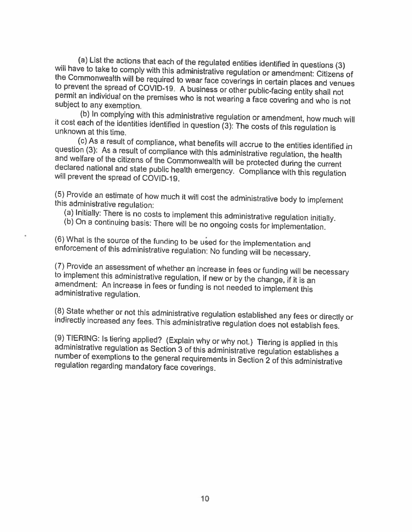(a) List the actions that each of the regulated entities identified in questions (3) will have to take to comply with this administrative regulation or amendment: Citizens of the Commonwealth will be required to wear face coverings in certain places and venues to prevent the spread of COVID-19. A business or other public-facing entity shall not permit an individual on the premises who is not wearing a face covering and who is not subject to any exemption.

(b) In complying with this administrative regulation or amendment, how much will it cost each of the identities identified in question (3): The costs of this regulation is unknown at this time.

(c) As a result of compliance, what benefits will accrue to the entities identified in question (3): As a result of compliance with this administrative regulation, the health and welfare of the citizens of the Commonwealth will be protected during the current declared national and state public health emergency. Compliance with this regulation will prevent the spread of COVID-19.

(5) Provide an estimate of how much it will cost the administrative body to implement this administrative regulation:

(a) Initially: There is no costs to implement this administrative regulation initially.

(b) On a continuing basis: There will be no ongoing costs for implementation.

(6) What is the source of the funding to be used for the implementation and enforcement of this administrative regulation: No funding will be necessary.

(7) Provide an assessment of whether an increase in fees or funding will be necessary to implement this administrative regulation, if new or by the change, if it is an amendment: An increase in fees or funding is not needed to implement this administrative regulation.

(8) State whether or not this administrative regulation established any fees or directly or indirectly increased any fees. This administrative regulation does not establish fees.

(9) TIERING: Is tiering applied? (Explain why or why not.) Tiering is applied in this administrative regulation as Section 3 of this administrative regulation establishes a number of exemptions to the general requirements in Section 2 of this administrative regulation regarding mandatory face coverings.